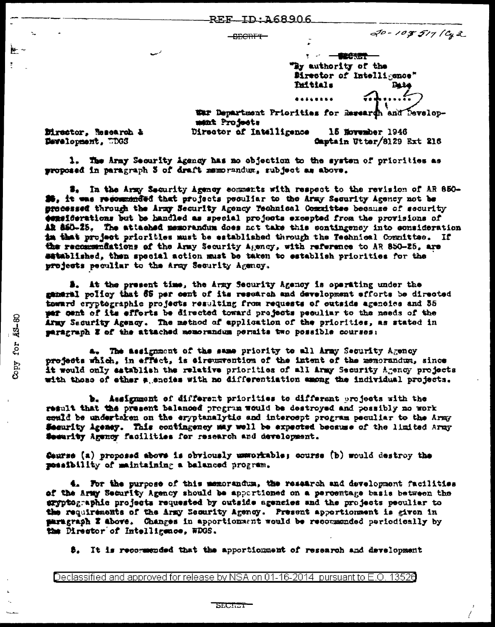REF ID: 468906

| 8505 T.E           |  |  |
|--------------------|--|--|
| <del>uncur i</del> |  |  |

20-108517 (Cg2

1 2 一體的想象 "By authority of the Birector of Intelligence" Tuitials Date

Captain Utter/8129 Ext 216

War Department Priorities for Research and Development Projects Director of Intelligence 15 November 1946

Director. Research & Development, WDGS

F.

Copy for AS-80

1. The Army Security Agency has no objection to the system of priorities as proposed in paragraph S of draft memorandum, subject as above.

#. In the Army Security Agency comments with respect to the revision of AR 850-25. it was recommended that projects peculiar to the Army Security Agency not be precessed through the Army Security Agency Technical Committee because of security esseiderations but be handled as special projects excepted from the provisions of AR 860-25. The attached memorandum does not take this contingency into consideration in that project priorities must be established through the Technical Committee. If the recommendations of the Army Security Agency, with reference to AR 850-25, are satablished, then special action must be taken to establish priorities for the projects peculiar to the Army Security Agency.

**5.** At the present time, the Army Security Agency is operating under the gameral policy that 65 per cent of its resoarch and development afforts be directed toward cryptographic projects resulting from requests of outside agencies and 35 per cent of its efforts be directed toward projects peculiar to the needs of the Army Security Agency. The method of application of the priorities, as stated in paragraph 3 of the attached memorandum permits two possible courses:

a. The assignment of the same priority to all Army Security Agency projects which, in effect, is eirouxvention of the intent of the memorandum, since it would only establish the relative priorities of all Army Security Agency projects with those of ether a snoies with no differentiation among the individual projects.

b. Assignment of different priorities to different projects with the result that the present balanced program would be destroyed and possibly no work could be undertaken on the eryptanalytic and intercept program peculiar to the Army Security Agency. This contingency may well be expected because of the limited Army Security Agency facilities for research and development.

Caurse (a) proposed above is obviously unworkable; course (b) would destroy the possibility of maintaining a balanced program.

4. For the purpose of this memorandum, the research and development facilities of the Army Security Agency should be apportioned on a percentage basis between the eryptographic projects requested by outside agencies and the projects peouliar to the requirements of the Army Security Agency. Present apportionment is given in paragraph Z above. Changes in apportionment would be recommended periodically by the Director of Intelligence, WDGS.

\$. It is recommended that the apportionment of research and development